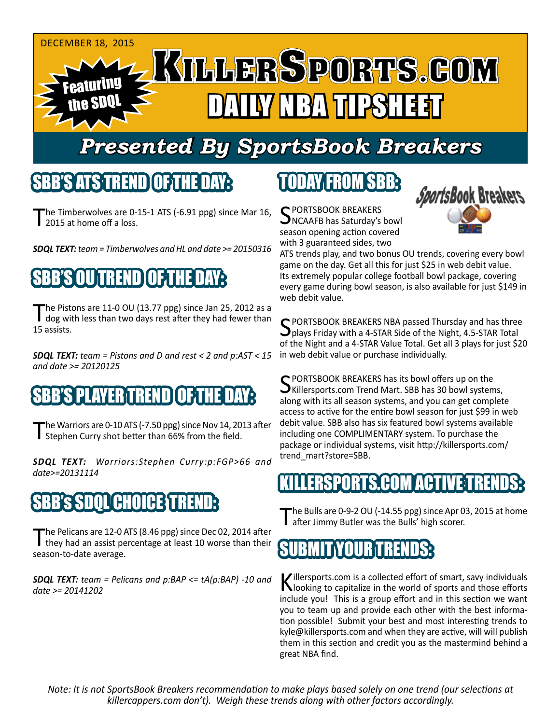

# *Presented By SportsBook Breakers*

#### SBB'S ATS TREND

he Timberwolves are 0-15-1 ATS (-6.91 ppg) since Mar 16, 2015 at home off a loss.

*SDQL TEXT: team = Timberwolves and HL and date >= 20150316*

# SBB'S OU TREND OF THE DAY:

The Pistons are 11-0 OU (13.77 ppg) since Jan 25, 2012 as a<br>dog with less than two days rest after they had fewer than 15 assists.

*SDQL TEXT: team = Pistons and D and rest < 2 and p:AST < 15 and date >= 20120125*

#### NEBRIEREN D

The Warriors are 0-10 ATS (-7.50 ppg) since Nov 14, 2013 after Stephen Curry shot better than 66% from the field.

*SDQL TEXT: Warriors:Stephen Curry:p:FGP>66 and date>=20131114*

### 'SDOL'CHOICE

The Pelicans are 12-0 ATS (8.46 ppg) since Dec 02, 2014 after<br>They had an assist percentage at least 10 worse than their season-to-date average.

*SDQL TEXT: team = Pelicans and p:BAP <= tA(p:BAP) -10 and date >= 20141202*

### TODAY FROM SBB:

C PORTSBOOK BREAKERS NCAAFB has Saturday's bowl season opening action covered with 3 guaranteed sides, two



ATS trends play, and two bonus OU trends, covering every bowl game on the day. Get all this for just \$25 in web debit value. Its extremely popular college football bowl package, covering every game during bowl season, is also available for just \$149 in web debit value.

SPORTSBOOK BREAKERS NBA passed Thursday and has three<br>plays Friday with a 4-STAR Side of the Night, 4.5-STAR Total of the Night and a 4-STAR Value Total. Get all 3 plays for just \$20 in web debit value or purchase individually.

C PORTSBOOK BREAKERS has its bowl offers up on the  $\bigcup$ Killersports.com Trend Mart. SBB has 30 bowl systems, along with its all season systems, and you can get complete access to active for the entire bowl season for just \$99 in web debit value. SBB also has six featured bowl systems available including one COMPLIMENTARY system. To purchase the package or individual systems, visit http://killersports.com/ trend\_mart?store=SBB.

#### KSPORTS.COM ACTI

The Bulls are  $0-9-2$  OU ( $-14.55$  ppg) since Apr 03, 2015 at home after Jimmy Butler was the Bulls' high scorer.



Killersports.com is a collected effort of smart, savy individuals<br>Nooking to capitalize in the world of sports and those efforts include you! This is a group effort and in this section we want you to team up and provide each other with the best information possible! Submit your best and most interesting trends to kyle@killersports.com and when they are active, will will publish them in this section and credit you as the mastermind behind a great NBA find.

*Note: It is not SportsBook Breakers recommendation to make plays based solely on one trend (our selections at killercappers.com don't). Weigh these trends along with other factors accordingly.*